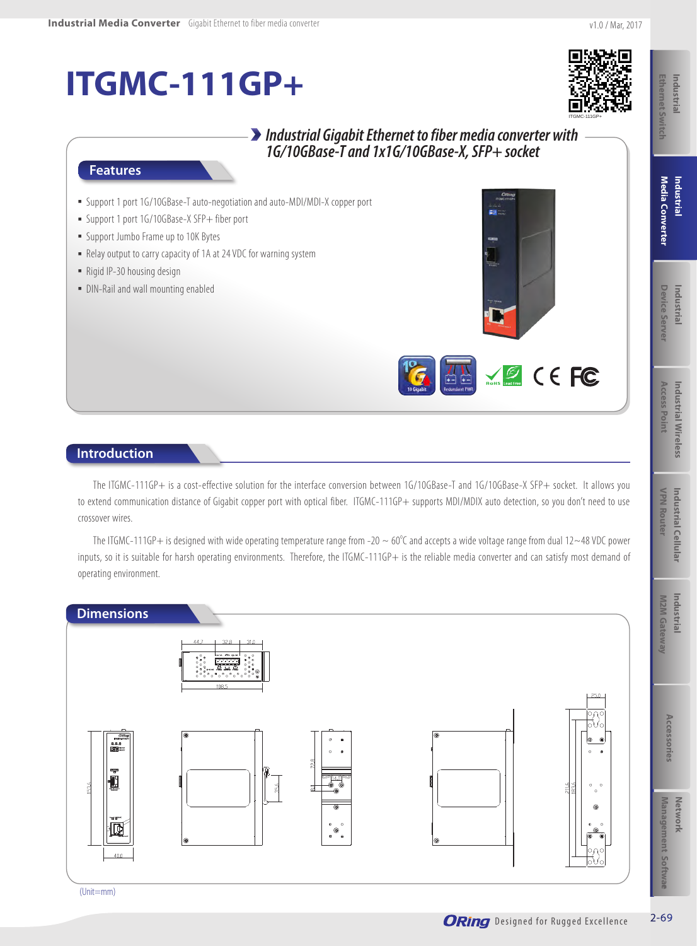# **ITGMC-111GP+**



### *Industrial Gigabit Ethernet to fiber media converter with 1G/10GBase-T and 1x1G/10GBase-X, SFP+ socket*

#### **Features**

- Support 1 port 1G/10GBase-T auto-negotiation and auto-MDI/MDI-X copper port
- Support 1 port 1G/10GBase-X SFP+ fiber port
- **Example 10K Bytes**
- Relay output to carry capacity of 1A at 24 VDC for warning system
- Rigid IP-30 housing design
- DIN-Rail and wall mounting enabled



#### **Introduction**

The ITGMC-111GP+ is a cost-effective solution for the interface conversion between 1G/10GBase-T and 1G/10GBase-X SFP+ socket. It allows you to extend communication distance of Gigabit copper port with optical fiber. ITGMC-111GP+ supports MDI/MDIX auto detection, so you don't need to use crossover wires.

The ITGMC-111GP+ is designed with wide operating temperature range from -20  $\sim 60^{\circ}$ C and accepts a wide voltage range from dual 12 $\sim$ 48 VDC power inputs, so it is suitable for harsh operating environments. Therefore, the ITGMC-111GP+ is the reliable media converter and can satisfy most demand of operating environment.

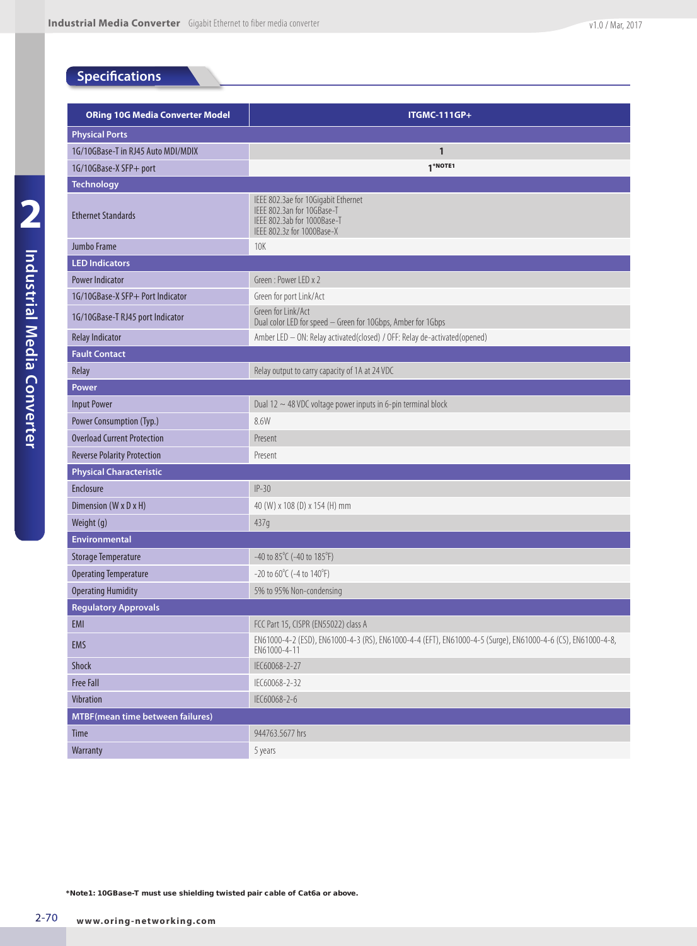## **Specifications**

| <b>ORing 10G Media Converter Model</b>  | <b>ITGMC-111GP+</b>                                                                                                            |  |  |  |  |
|-----------------------------------------|--------------------------------------------------------------------------------------------------------------------------------|--|--|--|--|
| <b>Physical Ports</b>                   |                                                                                                                                |  |  |  |  |
| 1G/10GBase-T in RJ45 Auto MDI/MDIX      | $\mathbf{1}$                                                                                                                   |  |  |  |  |
| 1G/10GBase-X SFP+ port                  | 1*NOTE1                                                                                                                        |  |  |  |  |
| <b>Technology</b>                       |                                                                                                                                |  |  |  |  |
| <b>Ethernet Standards</b>               | IEEE 802.3ae for 10Gigabit Ethernet<br>IEEE 802.3an for 10GBase-T<br>IFFF 802.3ab for 1000Base-T<br>IEEE 802.3z for 1000Base-X |  |  |  |  |
| Jumbo Frame                             | <b>10K</b>                                                                                                                     |  |  |  |  |
| <b>LED Indicators</b>                   |                                                                                                                                |  |  |  |  |
| <b>Power Indicator</b>                  | Green: Power LED x 2                                                                                                           |  |  |  |  |
| 1G/10GBase-X SFP+ Port Indicator        | Green for port Link/Act                                                                                                        |  |  |  |  |
| 1G/10GBase-T RJ45 port Indicator        | Green for Link/Act<br>Dual color LED for speed - Green for 10Gbps, Amber for 1Gbps                                             |  |  |  |  |
| <b>Relay Indicator</b>                  | Amber LED - ON: Relay activated (closed) / OFF: Relay de-activated (opened)                                                    |  |  |  |  |
| <b>Fault Contact</b>                    |                                                                                                                                |  |  |  |  |
| Relay                                   | Relay output to carry capacity of 1A at 24 VDC                                                                                 |  |  |  |  |
| Power                                   |                                                                                                                                |  |  |  |  |
| <b>Input Power</b>                      | Dual 12 $\sim$ 48 VDC voltage power inputs in 6-pin terminal block                                                             |  |  |  |  |
| Power Consumption (Typ.)                | 8.6W                                                                                                                           |  |  |  |  |
| <b>Overload Current Protection</b>      | Present                                                                                                                        |  |  |  |  |
| <b>Reverse Polarity Protection</b>      | Present                                                                                                                        |  |  |  |  |
| <b>Physical Characteristic</b>          |                                                                                                                                |  |  |  |  |
| <b>Enclosure</b>                        | $IP-30$                                                                                                                        |  |  |  |  |
| Dimension (W x D x H)                   | 40 (W) x 108 (D) x 154 (H) mm                                                                                                  |  |  |  |  |
| Weight (g)                              | 437g                                                                                                                           |  |  |  |  |
| <b>Environmental</b>                    |                                                                                                                                |  |  |  |  |
| <b>Storage Temperature</b>              | $-40$ to $85^{\circ}$ C ( $-40$ to $185^{\circ}$ F)                                                                            |  |  |  |  |
| <b>Operating Temperature</b>            | $-20$ to 60 $\degree$ C ( $-4$ to 140 $\degree$ F)                                                                             |  |  |  |  |
| <b>Operating Humidity</b>               | 5% to 95% Non-condensing                                                                                                       |  |  |  |  |
| <b>Regulatory Approvals</b>             |                                                                                                                                |  |  |  |  |
| EMI                                     | FCC Part 15, CISPR (EN55022) class A                                                                                           |  |  |  |  |
| EMS                                     | EN61000-4-2 (ESD), EN61000-4-3 (RS), EN61000-4-4 (EFT), EN61000-4-5 (Surge), EN61000-4-6 (CS), EN61000-4-8,<br>EN61000-4-11    |  |  |  |  |
| Shock                                   | IEC60068-2-27                                                                                                                  |  |  |  |  |
| <b>Free Fall</b>                        | IEC60068-2-32                                                                                                                  |  |  |  |  |
| Vibration                               | IEC60068-2-6                                                                                                                   |  |  |  |  |
| <b>MTBF(mean time between failures)</b> |                                                                                                                                |  |  |  |  |
| Time                                    | 944763.5677 hrs                                                                                                                |  |  |  |  |
| Warranty                                | 5 years                                                                                                                        |  |  |  |  |